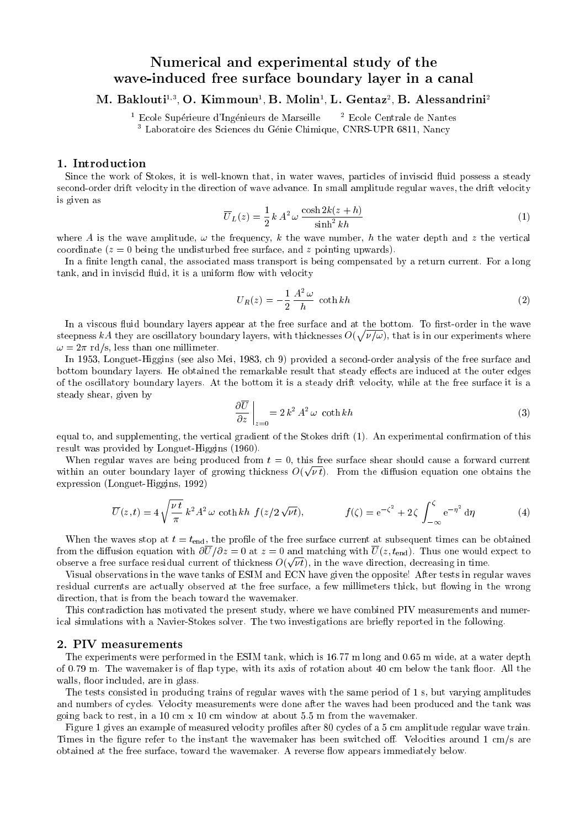# Numerical and experimental study of the wave-induced free surface boundary layer in <sup>a</sup> canal

IVI. Dakiouti", O. Kimmoun' D. Molin' L. Gentaz<sup>-</sup> D. Alessandrini<sup>2</sup>

 $^1$  Ecole Supérieure d'Ingénieurs de Marseille  $\quad$  2 Ecole Centrale de Nantes <sup>3</sup> Laboratoire des Sciences du Genie Chimique, CNRS-UPR 6811, Nancy

### 1. Introduction

Since the work of Stokes, it is well-known that, in water waves, particles of inviscid fluid possess a steady second-order drift velocity in the direction of wave advance. In small amplitude regular waves, the drift velocity is given as

$$
\overline{U}_L(z) = \frac{1}{2} k A^2 \omega \frac{\cosh 2k(z+h)}{\sinh^2 kh}
$$
 (1)

where A is the wave amplitude,  $\omega$  the frequency, k the wave number, h the water depth and z the vertical coordinate  $(z = 0$  being the undisturbed free surface, and z pointing upwards).

In a finite length canal, the associated mass transport is being compensated by a return current. For a long tank, and in inviscid fluid, it is a uniform flow with velocity

$$
U_R(z) = -\frac{1}{2} \frac{A^2 \omega}{h} \coth kh \tag{2}
$$

In a viscous fluid boundary layers appear at the free surface and at the bottom. To first-order in the wave steepness kA they are oscillatory boundary layers, with thicknesses  $O(\sqrt{\nu/\omega})$ , that is in our experiments where  $\omega = 2\pi$  rd/s, less than one millimeter.

In 1953, Longuet-Higgins (see also Mei, 1983, ch 9) provided a second-order analysis of the free surface and bottom boundary layers. He obtained the remarkable result that steady effects are induced at the outer edges of the oscillatory boundary layers. At the bottom it is a steady drift velocity, while at the free surface it is a steady shear, given by

$$
\left. \frac{\partial \overline{U}}{\partial z} \right|_{z=0} = 2 k^2 A^2 \, \omega \, \coth kh \tag{3}
$$

equal to, and supplementing, the vertical gradient of the Stokes drift (1). An experimental confirmation of this result was provided by Longuet-Higgins (1960).

When regular waves are being produced from  $t = 0$ , this free surface shear should cause a forward current within an outer boundary layer of growing thickness  $O(\sqrt{\nu t})$ . From the diffusion equation one obtains the expression (Longuet-Higgins, 1992)

$$
\overline{U}(z,t) = 4\sqrt{\frac{\nu t}{\pi}} k^2 A^2 \omega \coth kh \ f(z/2\sqrt{\nu t}), \qquad f(\zeta) = e^{-\zeta^2} + 2\zeta \int_{-\infty}^{\zeta} e^{-\eta^2} d\eta \tag{4}
$$

When the waves stop at  $t = t_{\text{end}}$ , the profile of the free surface current at subsequent times can be obtained from the diffusion equation with  $\partial \overline{U}/\partial z = 0$  at  $z = 0$  and matching with  $\overline{U}(z, t_{\text{end}})$ . Thus one would expect to observe a free surface residual current of thickness  $O(\sqrt{\nu t})$ , in the wave direction, decreasing in time.

Visual observations in the wave tanks of ESIM and ECN have given the opposite! After tests in regular waves residual currents are actually observed at the free surface, a few millimeters thick, but flowing in the wrong direction, that is from the beach toward the wavemaker.

This contradiction has motivated the present study, where we have combined PIV measurements and numerical simulations with a Navier-Stokes solver. The two investigations are briefly reported in the following.

### 2. PIV measurements

The experiments were performed in the ESIM tank, which is 16.77 m long and 0.65 m wide, at a water depth of 0.79 m. The wavemaker is of flap type, with its axis of rotation about 40 cm below the tank floor. All the walls, floor included, are in glass.

The tests consisted in producing trains of regular waves with the same period of 1 s, but varying amplitudes and numbers of cycles. Velocity measurements were done after the waves had been produced and the tank was going back to rest, in a 10 cm x 10 cm window at about 5.5 m from the wavemaker.

Figure 1 gives an example of measured velocity profiles after 80 cycles of a 5 cm amplitude regular wave train. Times in the figure refer to the instant the wavemaker has been switched off. Velocities around  $1 \text{ cm/s}$  are obtained at the free surface, toward the wavemaker. A reverse flow appears immediately below.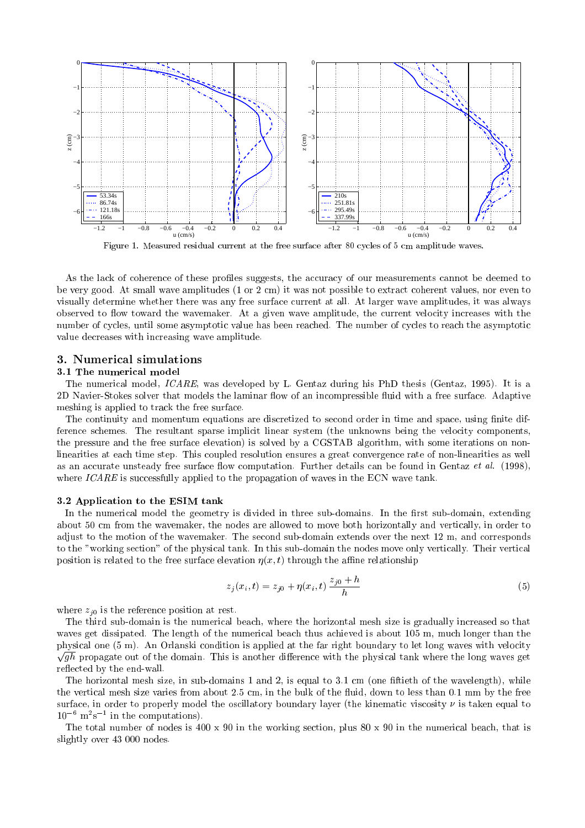

Figure 1. Measured residual current at the free surface after 80 cycles of 5 cm amplitude waves.

As the lack of coherence of these profiles suggests, the accuracy of our measurements cannot be deemed to be very good. At small wave amplitudes (1 or 2 cm) it was not possible to extract coherent values, nor even to visually determine whether there was any free surface current at all. At larger wave amplitudes, it was always observed to flow toward the wavemaker. At a given wave amplitude, the current velocity increases with the number of cycles, until some asymptotic value has been reached. The number of cycles to reach the asymptotic value decreases with increasing wave amplitude.

### 3. Numerical simulations

#### 3.1 The numerical model

The numerical model, ICARE, was developed by L. Gentaz during his PhD thesis (Gentaz, 1995). It is a 2D Navier-Stokes solver that models the laminar flow of an incompressible fluid with a free surface. Adaptive meshing is applied to track the free surface.

The continuity and momentum equations are discretized to second order in time and space, using finite difference schemes. The resultant sparse implicit linear system (the unknowns being the velocity components, the pressure and the free surface elevation) is solved by a CGSTAB algorithm, with some iterations on nonlinearities at each time step. This coupled resolution ensures a great convergence rate of non-linearities as well as an accurate unsteady free surface flow computation. Further details can be found in Gentaz *et al.* (1998), where  $ICARE$  is successfully applied to the propagation of waves in the ECN wave tank.

### 3.2 Application to the ESIM tank

In the numerical model the geometry is divided in three sub-domains. In the first sub-domain, extending about 50 cm from the wavemaker, the nodes are allowed to move both horizontally and vertically, in order to adjust to the motion of the wavemaker. The second sub-domain extends over the next 12 m, and corresponds to the "working section" of the physical tank. In this sub-domain the nodes move only vertically. Their vertical position is related to the free surface elevation  $\eta(x, t)$  through the affine relationship

$$
z_j(x_i, t) = z_{j0} + \eta(x_i, t) \frac{z_{j0} + h}{h}
$$
\n(5)

where  $z_{i0}$  is the reference position at rest.

The third sub-domain is the numerical beach, where the horizontal mesh size is gradually increased so that waves get dissipated. The length of the numerical beach thus achieved is about 105 m, much longer than the physical one (5 m). An Orlanski condition is applied at the far right boundary to let long waves with velocity  $\sqrt{gh}$  propagate out of the domain. This is another difference with the physical tank where the long waves get reflected by the end-wall.

The horizontal mesh size, in sub-domains 1 and 2, is equal to 3.1 cm (one ftieth of the wavelength), while the vertical mesh size varies from about 2.5 cm, in the bulk of the fluid, down to less than 0.1 mm by the free surface, in order to properly model the oscillatory boundary layer (the kinematic viscosity  $\nu$  is taken equal to 106 m2 s1 in the computations).

The total number of nodes is  $400 \times 90$  in the working section, plus  $80 \times 90$  in the numerical beach, that is slightly over 43 000 nodes.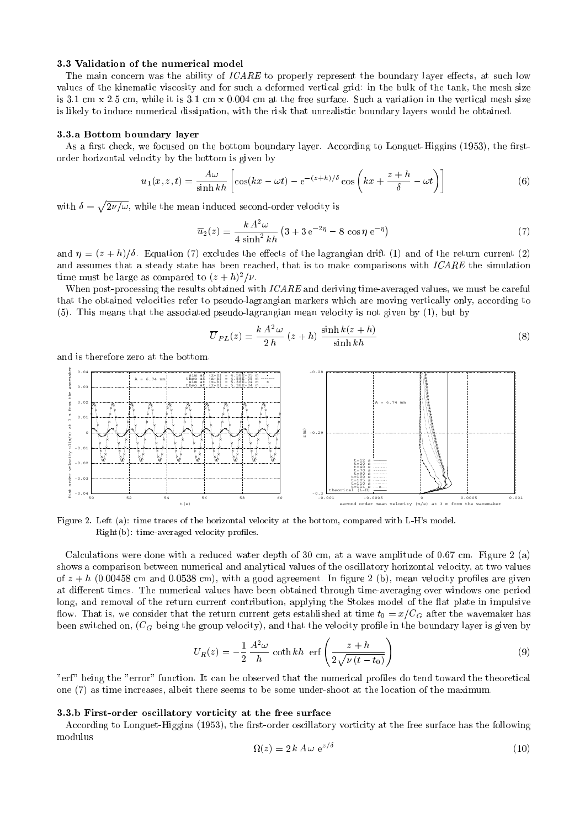#### 3.3 Validation of the numerical model

The main concern was the ability of ICARE to properly represent the boundary layer effects, at such low values of the kinematic viscosity and for such a deformed vertical grid: in the bulk of the tank, the mesh size is 3.1 cm x 2.5 cm, while it is 3.1 cm x 0.004 cm at the free surface. Suchavariation in the vertical mesh size is likely to induce numerical dissipation, with the risk that unrealistic boundary layers would be obtained.

#### 3.3.a Bottom boundary layer

As a first check, we focused on the bottom boundary layer. According to Longuet-Higgins (1953), the firstorder horizontal velocity by the bottom is given by

$$
u_1(x, z, t) = \frac{A\omega}{\sinh kh} \left[ \cos(kx - \omega t) - e^{-(z+h)/\delta} \cos\left(kx + \frac{z+h}{\delta} - \omega t\right) \right]
$$
(6)

with  $\delta = \sqrt{2\nu/\omega}$ , while the mean induced second-order velocity is

$$
\overline{u}_2(z) = \frac{k A^2 \omega}{4 \sinh^2 kh} \left(3 + 3 e^{-2\eta} - 8 \cos \eta e^{-\eta}\right)
$$
\n(7)

and  $\eta = (z + h)/\delta$ . Equation (7) excludes the effects of the lagrangian drift (1) and of the return current (2) and assumes that a steady state has been reached, that is to make comparisons with ICARE the simulation time must be large as compared to  $(z + h)^2/\nu$ .

When post-processing the results obtained with  $ICARE$  and deriving time-averaged values, we must be careful that the obtained velocities refer to pseudo-lagrangian markers which are moving vertically only, according to (5). This means that the associated pseudo-lagrangian mean velocity is not given by (1), but by

$$
\overline{U}_{PL}(z) = \frac{k A^2 \omega}{2 h} (z + h) \frac{\sinh k(z + h)}{\sinh kh}
$$
\n(8)

and is therefore zero at the bottom.



Figure 2. Left (a): time traces of the horizontal velocity at the bottom, compared with L-H's model. Right(b): time-averaged velocity proles.

Calculations were done with a reduced water depth of 30 cm, at a wave amplitude of 0.67 cm. Figure 2 (a) shows a comparison between numerical and analytical values of the oscillatory horizontal velocity, at two values of  $z + h$  (0.00458 cm and 0.0538 cm), with a good agreement. In figure 2 (b), mean velocity profiles are given at different times. The numerical values have been obtained through time-averaging over windows one period long, and removal of the return current contribution, applying the Stokes model of the flat plate in impulsive flow. That is, we consider that the return current gets established at time  $t_0 = x/C_G$  after the wavemaker has been switched on,  $(C_G$  being the group velocity), and that the velocity profile in the boundary layer is given by

$$
U_R(z) = -\frac{1}{2} \frac{A^2 \omega}{h} \coth kh \text{ erf} \left( \frac{z+h}{2\sqrt{\nu (t-t_0)}} \right)
$$
 (9)

"erf" being the "error" function. It can be observed that the numerical profiles do tend toward the theoretical one (7) as time increases, albeit there seems to be some under-shoot at the location of the maximum.

#### 3.3.b First-order oscillatory vorticity at the free surface

According to Longuet-Higgins (1953), the first-order oscillatory vorticity at the free surface has the following modulus

$$
\Omega(z) = 2 k A \omega \, \mathrm{e}^{z/\delta} \tag{10}
$$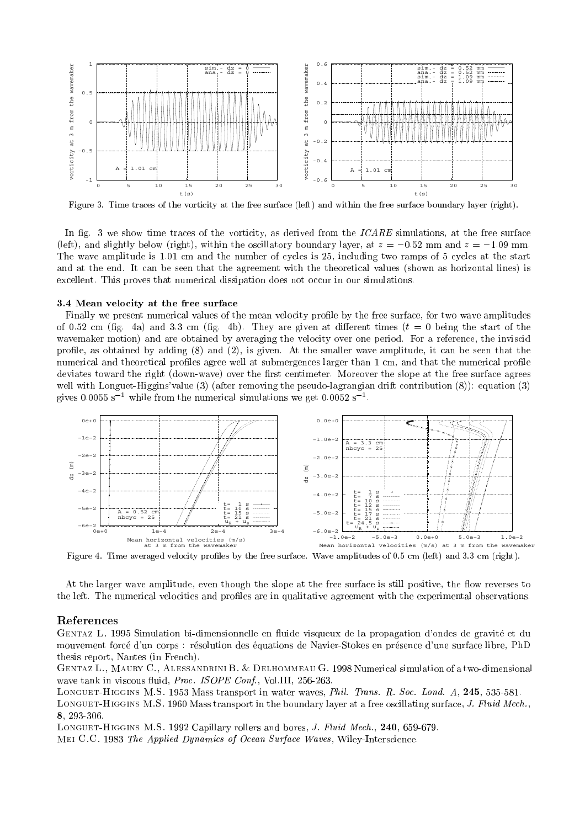

Figure 3. Time traces of the vorticity at the free surface (left) and within the free surface boundary layer (right).

In fig. 3 we show time traces of the vorticity, as derived from the  $ICARE$  simulations, at the free surface (left), and slightly below (right), within the oscillatory boundary layer, at  $z = -0.52$  mm and  $z = -1.09$  mm. The wave amplitude is 1.01 cm and the number of cycles is 25, including two ramps of 5 cycles at the start and at the end. It can be seen that the agreement with the theoretical values (shown as horizontal lines) is excellent. This proves that numerical dissipation does not occur in our simulations.

#### 3.4 Mean velocity at the free surface

Finally we present numerical values of the mean velocity profile by the free surface, for two wave amplitudes of 0.52 cm (fig. 4a) and 3.3 cm (fig. 4b). They are given at different times  $(t = 0)$  being the start of the wavemaker motion) and are obtained by averaging the velocity over one period. For a reference, the inviscid profile, as obtained by adding  $(8)$  and  $(2)$ , is given. At the smaller wave amplitude, it can be seen that the numerical and theoretical profiles agree well at submergences larger than 1 cm, and that the numerical profile deviates toward the right (down-wave) over the first centimeter. Moreover the slope at the free surface agrees well with Longuet-Higgins'value (3) (after removing the pseudo-lagrangian drift contribution (8)): equation (3) gives 0.0055 s<sup>-1</sup> while from the numerical simulations we get  $0.0052$  s<sup>-1</sup>.



Figure 4. Time averaged velocity proles by the free surface. Wave amplitudes of 0.5 cm (left) and 3.3 cm (right).

At the larger wave amplitude, even though the slope at the free surface is still positive, the flow reverses to the left. The numerical velocities and profiles are in qualitative agreement with the experimental observations.

### References

GENTAZ L. 1995 Simulation bi-dimensionnelle en fluide visqueux de la propagation d'ondes de gravité et du mouvement force d'un corps : resolution des equations de Navier-Stokes en presence d'une surface libre, PhD thesis report, Nantes (in French).

Gentaz L., Maury C., Alessandrini B. & Delhommeau G. 1998 Numerical simulation of a two-dimensional wave tank in viscous fluid, Proc. ISOPE Conf., Vol.III, 256-263.

LONGUET-HIGGINS M.S. 1953 Mass transport in water waves, *Phil. Trans. R. Soc. Lond. A*, 245, 535-581.

LONGUET-HIGGINS M.S. 1960 Mass transport in the boundary layer at a free oscillating surface, J. Fluid Mech., 8, 293-306.

LONGUET-HIGGINS M.S. 1992 Capillary rollers and bores, *J. Fluid Mech.*, 240, 659-679.

Mei C.C. 1983 The Applied Dynamics of Ocean Surface Waves, Wiley-Interscience.